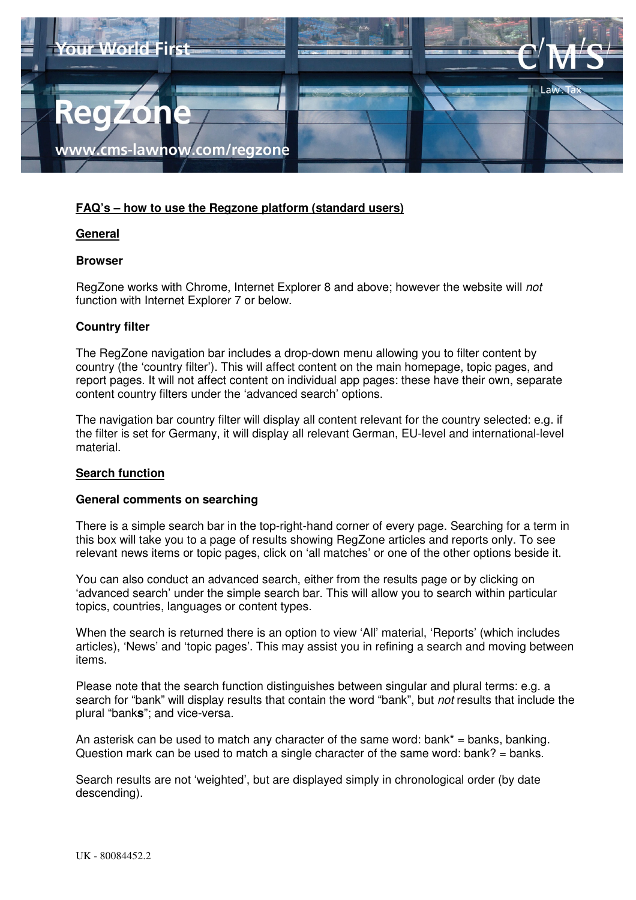

# **FAQ's – how to use the Regzone platform (standard users)**

# **General**

## **Browser**

RegZone works with Chrome, Internet Explorer 8 and above; however the website will not function with Internet Explorer 7 or below.

# **Country filter**

The RegZone navigation bar includes a drop-down menu allowing you to filter content by country (the 'country filter'). This will affect content on the main homepage, topic pages, and report pages. It will not affect content on individual app pages: these have their own, separate content country filters under the 'advanced search' options.

The navigation bar country filter will display all content relevant for the country selected: e.g. if the filter is set for Germany, it will display all relevant German, EU-level and international-level material.

# **Search function**

## **General comments on searching**

There is a simple search bar in the top-right-hand corner of every page. Searching for a term in this box will take you to a page of results showing RegZone articles and reports only. To see relevant news items or topic pages, click on 'all matches' or one of the other options beside it.

You can also conduct an advanced search, either from the results page or by clicking on 'advanced search' under the simple search bar. This will allow you to search within particular topics, countries, languages or content types.

When the search is returned there is an option to view 'All' material, 'Reports' (which includes articles), 'News' and 'topic pages'. This may assist you in refining a search and moving between items.

Please note that the search function distinguishes between singular and plural terms: e.g. a search for "bank" will display results that contain the word "bank", but *not* results that include the plural "bank**s**"; and vice-versa.

An asterisk can be used to match any character of the same word: bank\* = banks, banking. Question mark can be used to match a single character of the same word: bank? = banks.

Search results are not 'weighted', but are displayed simply in chronological order (by date descending).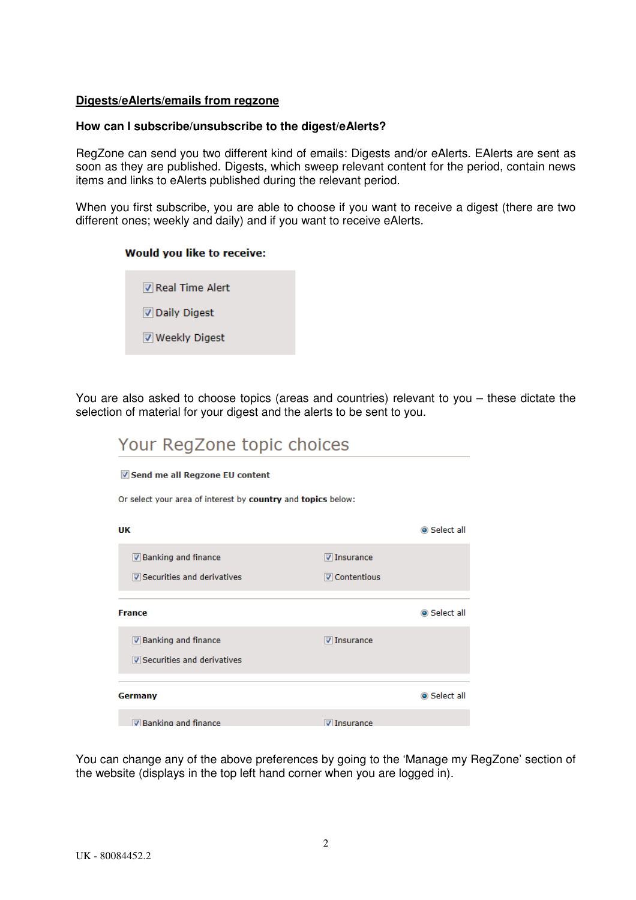## **Digests/eAlerts/emails from regzone**

## **How can I subscribe/unsubscribe to the digest/eAlerts?**

RegZone can send you two different kind of emails: Digests and/or eAlerts. EAlerts are sent as soon as they are published. Digests, which sweep relevant content for the period, contain news items and links to eAlerts published during the relevant period.

When you first subscribe, you are able to choose if you want to receive a digest (there are two different ones; weekly and daily) and if you want to receive eAlerts.

## **Would you like to receive:**

Real Time Alert Daily Digest **▼ Weekly Digest** 

You are also asked to choose topics (areas and countries) relevant to you – these dictate the selection of material for your digest and the alerts to be sent to you.

| Your RegZone topic choices                                   |                      |            |
|--------------------------------------------------------------|----------------------|------------|
| Send me all Regzone EU content                               |                      |            |
| Or select your area of interest by country and topics below: |                      |            |
| UK                                                           |                      | Select all |
| <b>▼ Banking and finance</b>                                 | <b>V</b> Insurance   |            |
| Securities and derivatives                                   | <b>▽ Contentious</b> |            |
| <b>France</b>                                                |                      | Select all |
|                                                              |                      |            |
| <b>▼</b> Banking and finance                                 | <b>V</b> Insurance   |            |
| Securities and derivatives                                   |                      |            |
| Germany                                                      |                      | Select all |
| <b>Z</b> Banking and finance                                 | $\nabla$ Insurance   |            |

You can change any of the above preferences by going to the 'Manage my RegZone' section of the website (displays in the top left hand corner when you are logged in).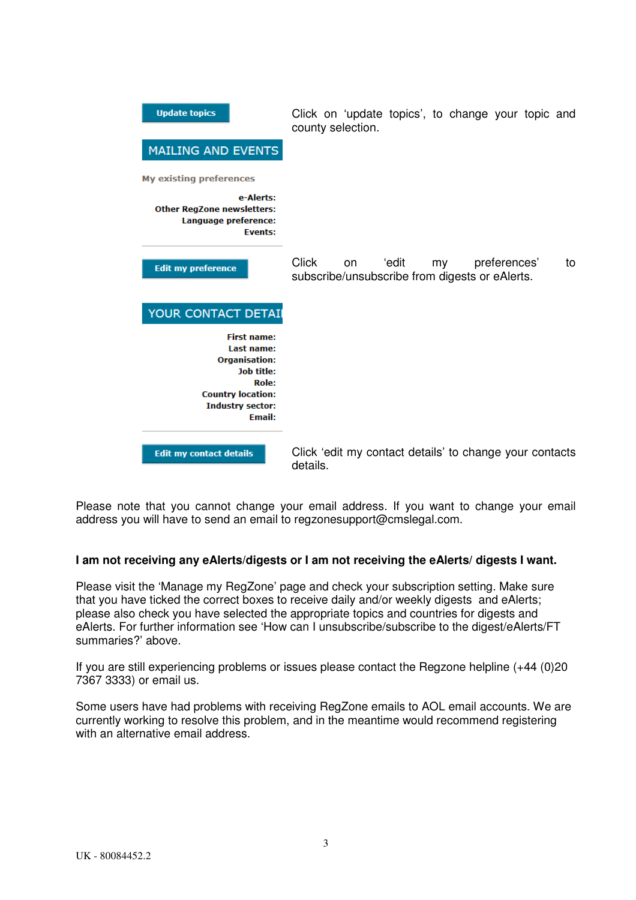| <b>Update topics</b>                                                                                                                                           | Click on 'update topics', to change your topic and<br>county selection.                                   |
|----------------------------------------------------------------------------------------------------------------------------------------------------------------|-----------------------------------------------------------------------------------------------------------|
| <b>MAILING AND EVENTS</b>                                                                                                                                      |                                                                                                           |
| <b>My existing preferences</b>                                                                                                                                 |                                                                                                           |
| e-Alerts:<br><b>Other RegZone newsletters:</b><br>Language preference:<br><b>Events:</b>                                                                       |                                                                                                           |
| <b>Edit my preference</b>                                                                                                                                      | <b>Click</b><br>preferences'<br>'edit<br>my<br>on<br>to<br>subscribe/unsubscribe from digests or eAlerts. |
| YOUR CONTACT DETAIL                                                                                                                                            |                                                                                                           |
| <b>First name:</b><br>Last name:<br><b>Organisation:</b><br><b>Job title:</b><br>Role:<br><b>Country location:</b><br><b>Industry sector:</b><br><b>Email:</b> |                                                                                                           |
| <b>Edit my contact details</b>                                                                                                                                 | Click 'edit my contact details' to change your contacts<br>details.                                       |

Please note that you cannot change your email address. If you want to change your email address you will have to send an email to regzonesupport@cmslegal.com.

# **I am not receiving any eAlerts/digests or I am not receiving the eAlerts/ digests I want.**

Please visit the 'Manage my RegZone' page and check your subscription setting. Make sure that you have ticked the correct boxes to receive daily and/or weekly digests and eAlerts; please also check you have selected the appropriate topics and countries for digests and eAlerts. For further information see 'How can I unsubscribe/subscribe to the digest/eAlerts/FT summaries?' above.

If you are still experiencing problems or issues please contact the Regzone helpline (+44 (0)20 7367 3333) or email us.

Some users have had problems with receiving RegZone emails to AOL email accounts. We are currently working to resolve this problem, and in the meantime would recommend registering with an alternative email address.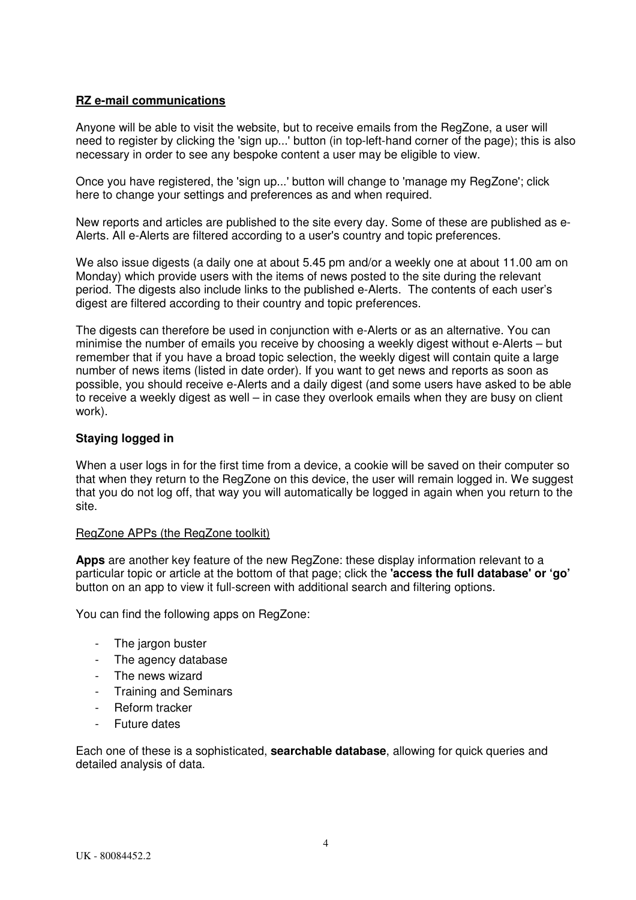# **RZ e-mail communications**

Anyone will be able to visit the website, but to receive emails from the RegZone, a user will need to register by clicking the 'sign up...' button (in top-left-hand corner of the page); this is also necessary in order to see any bespoke content a user may be eligible to view.

Once you have registered, the 'sign up...' button will change to 'manage my RegZone'; click here to change your settings and preferences as and when required.

New reports and articles are published to the site every day. Some of these are published as e-Alerts. All e-Alerts are filtered according to a user's country and topic preferences.

We also issue digests (a daily one at about 5.45 pm and/or a weekly one at about 11.00 am on Monday) which provide users with the items of news posted to the site during the relevant period. The digests also include links to the published e-Alerts. The contents of each user's digest are filtered according to their country and topic preferences.

The digests can therefore be used in conjunction with e-Alerts or as an alternative. You can minimise the number of emails you receive by choosing a weekly digest without e-Alerts – but remember that if you have a broad topic selection, the weekly digest will contain quite a large number of news items (listed in date order). If you want to get news and reports as soon as possible, you should receive e-Alerts and a daily digest (and some users have asked to be able to receive a weekly digest as well – in case they overlook emails when they are busy on client work).

# **Staying logged in**

When a user logs in for the first time from a device, a cookie will be saved on their computer so that when they return to the RegZone on this device, the user will remain logged in. We suggest that you do not log off, that way you will automatically be logged in again when you return to the site.

# RegZone APPs (the RegZone toolkit)

**Apps** are another key feature of the new RegZone: these display information relevant to a particular topic or article at the bottom of that page; click the **'access the full database' or 'go'**  button on an app to view it full-screen with additional search and filtering options.

You can find the following apps on RegZone:

- The jargon buster
- The agency database
- The news wizard
- Training and Seminars
- Reform tracker
- Future dates

Each one of these is a sophisticated, **searchable database**, allowing for quick queries and detailed analysis of data.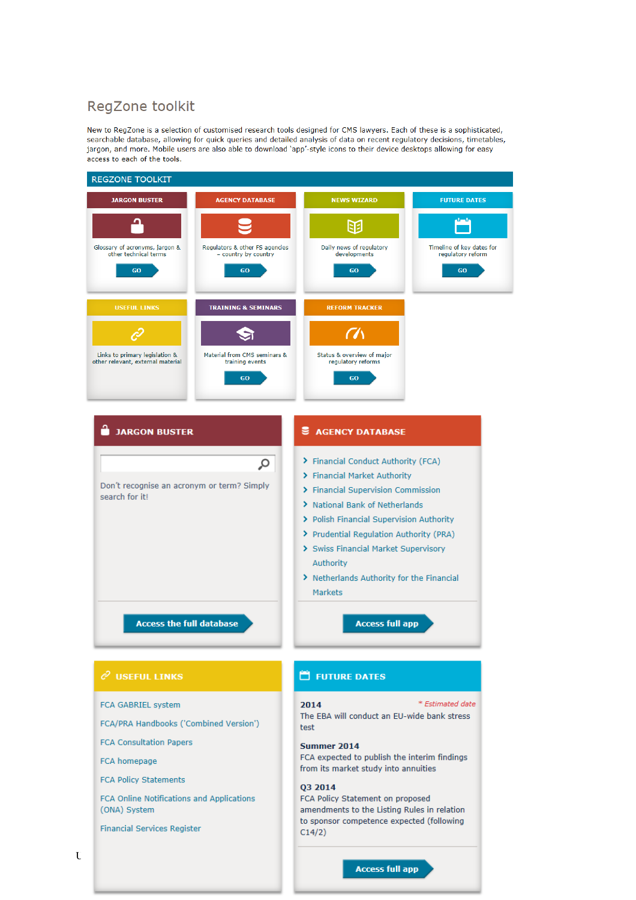# RegZone toolkit

New to RegZone is a selection of customised research tools designed for CMS lawyers. Each of these is a sophisticated, searchable database, allowing for quick queries and detailed analysis of data on recent requlatory decisions, timetables, jargon, and more. Mobile users are also able to download 'app'-style icons to their device desktops allowing for easy access to each of the tools.



FCA Online Notifications and Applications (ONA) System

**Financial Services Register** 

amendments to the Listing Rules in relation to sponsor competence expected (following

 $C14/2)$